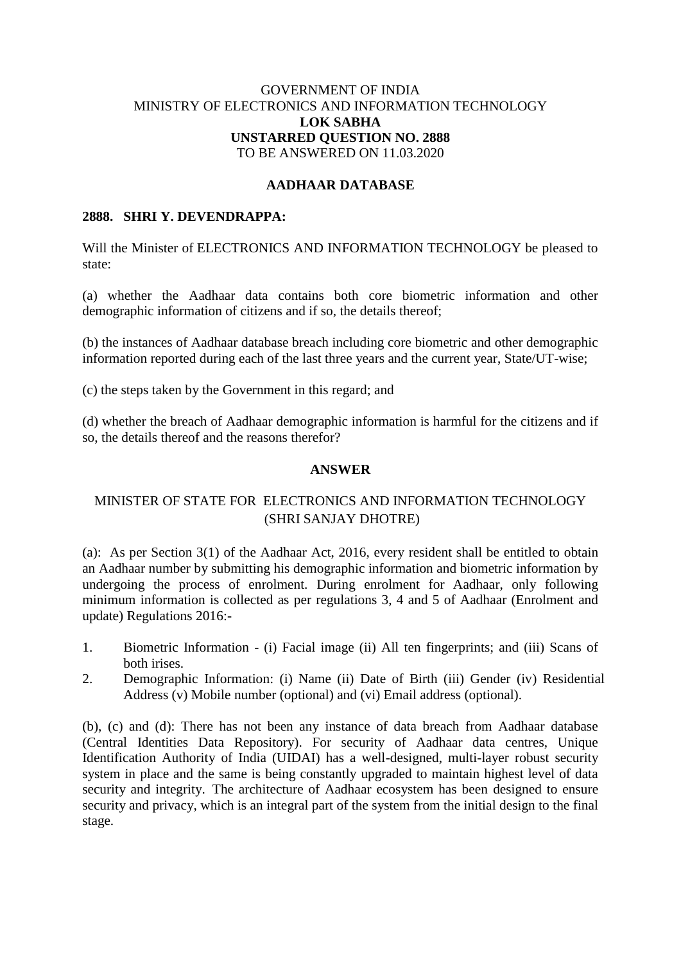## GOVERNMENT OF INDIA MINISTRY OF ELECTRONICS AND INFORMATION TECHNOLOGY **LOK SABHA UNSTARRED QUESTION NO. 2888** TO BE ANSWERED ON 11.03.2020

## **AADHAAR DATABASE**

#### **2888. SHRI Y. DEVENDRAPPA:**

Will the Minister of ELECTRONICS AND INFORMATION TECHNOLOGY be pleased to state:

(a) whether the Aadhaar data contains both core biometric information and other demographic information of citizens and if so, the details thereof;

(b) the instances of Aadhaar database breach including core biometric and other demographic information reported during each of the last three years and the current year, State/UT-wise;

(c) the steps taken by the Government in this regard; and

(d) whether the breach of Aadhaar demographic information is harmful for the citizens and if so, the details thereof and the reasons therefor?

### **ANSWER**

# MINISTER OF STATE FOR ELECTRONICS AND INFORMATION TECHNOLOGY (SHRI SANJAY DHOTRE)

(a): As per Section 3(1) of the Aadhaar Act, 2016, every resident shall be entitled to obtain an Aadhaar number by submitting his demographic information and biometric information by undergoing the process of enrolment. During enrolment for Aadhaar, only following minimum information is collected as per regulations 3, 4 and 5 of Aadhaar (Enrolment and update) Regulations 2016:-

- 1. Biometric Information (i) Facial image (ii) All ten fingerprints; and (iii) Scans of both irises.
- 2. Demographic Information: (i) Name (ii) Date of Birth (iii) Gender (iv) Residential Address (v) Mobile number (optional) and (vi) Email address (optional).

(b), (c) and (d): There has not been any instance of data breach from Aadhaar database (Central Identities Data Repository). For security of Aadhaar data centres, Unique Identification Authority of India (UIDAI) has a well-designed, multi-layer robust security system in place and the same is being constantly upgraded to maintain highest level of data security and integrity. The architecture of Aadhaar ecosystem has been designed to ensure security and privacy, which is an integral part of the system from the initial design to the final stage.